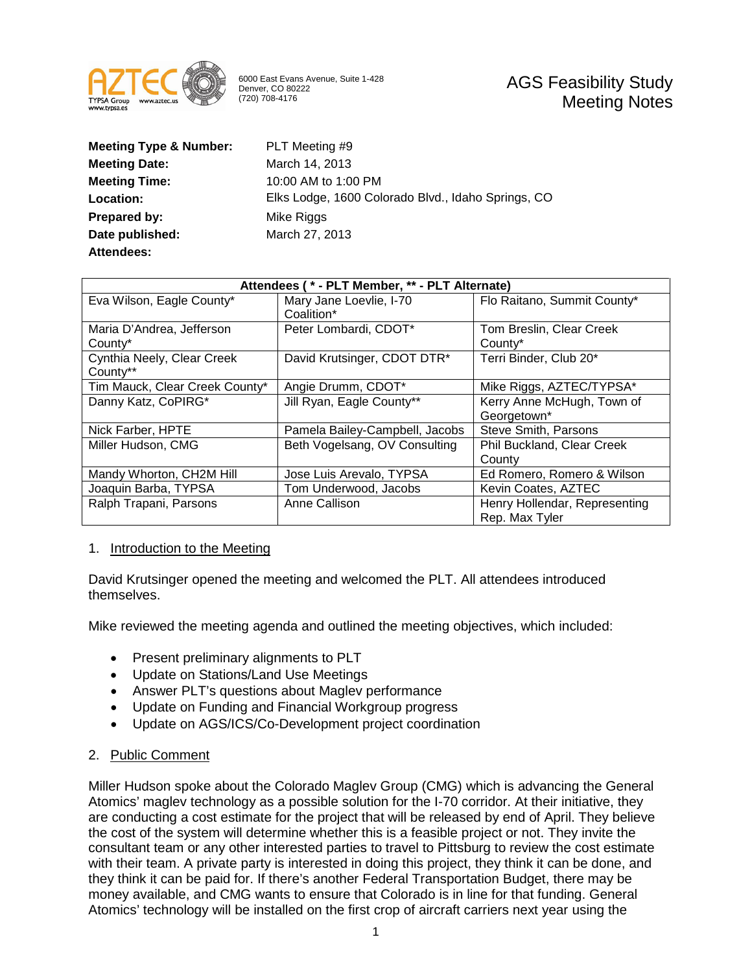

6000 East Evans Avenue, Suite 1-428 Denver, CO 80222 (720) 708-4176

| <b>Meeting Type &amp; Number:</b> | PLT Meeting #9                                     |
|-----------------------------------|----------------------------------------------------|
| <b>Meeting Date:</b>              | March 14, 2013                                     |
| <b>Meeting Time:</b>              | 10:00 AM to 1:00 PM                                |
| <b>Location:</b>                  | Elks Lodge, 1600 Colorado Blvd., Idaho Springs, CO |
| Prepared by:                      | Mike Riggs                                         |
| Date published:                   | March 27, 2013                                     |
| <b>Attendees:</b>                 |                                                    |

| Attendees (* - PLT Member, ** - PLT Alternate) |                                |                                   |  |
|------------------------------------------------|--------------------------------|-----------------------------------|--|
| Eva Wilson, Eagle County*                      | Mary Jane Loevlie, I-70        | Flo Raitano, Summit County*       |  |
|                                                | Coalition*                     |                                   |  |
| Maria D'Andrea, Jefferson                      | Peter Lombardi, CDOT*          | Tom Breslin, Clear Creek          |  |
| County*                                        |                                | County*                           |  |
| Cynthia Neely, Clear Creek                     | David Krutsinger, CDOT DTR*    | Terri Binder, Club 20*            |  |
| County**                                       |                                |                                   |  |
| Tim Mauck, Clear Creek County*                 | Angie Drumm, CDOT*             | Mike Riggs, AZTEC/TYPSA*          |  |
| Danny Katz, CoPIRG*                            | Jill Ryan, Eagle County**      | Kerry Anne McHugh, Town of        |  |
|                                                |                                | Georgetown*                       |  |
| Nick Farber, HPTE                              | Pamela Bailey-Campbell, Jacobs | Steve Smith, Parsons              |  |
| Miller Hudson, CMG                             | Beth Vogelsang, OV Consulting  | <b>Phil Buckland, Clear Creek</b> |  |
|                                                |                                | County                            |  |
| Mandy Whorton, CH2M Hill                       | Jose Luis Arevalo, TYPSA       | Ed Romero, Romero & Wilson        |  |
| Joaquin Barba, TYPSA                           | Tom Underwood, Jacobs          | Kevin Coates, AZTEC               |  |
| Ralph Trapani, Parsons                         | Anne Callison                  | Henry Hollendar, Representing     |  |
|                                                |                                | Rep. Max Tyler                    |  |

## 1. Introduction to the Meeting

David Krutsinger opened the meeting and welcomed the PLT. All attendees introduced themselves.

Mike reviewed the meeting agenda and outlined the meeting objectives, which included:

- Present preliminary alignments to PLT
- Update on Stations/Land Use Meetings
- Answer PLT's questions about Maglev performance
- Update on Funding and Financial Workgroup progress
- Update on AGS/ICS/Co-Development project coordination

# 2. Public Comment

Miller Hudson spoke about the Colorado Maglev Group (CMG) which is advancing the General Atomics' maglev technology as a possible solution for the I-70 corridor. At their initiative, they are conducting a cost estimate for the project that will be released by end of April. They believe the cost of the system will determine whether this is a feasible project or not. They invite the consultant team or any other interested parties to travel to Pittsburg to review the cost estimate with their team. A private party is interested in doing this project, they think it can be done, and they think it can be paid for. If there's another Federal Transportation Budget, there may be money available, and CMG wants to ensure that Colorado is in line for that funding. General Atomics' technology will be installed on the first crop of aircraft carriers next year using the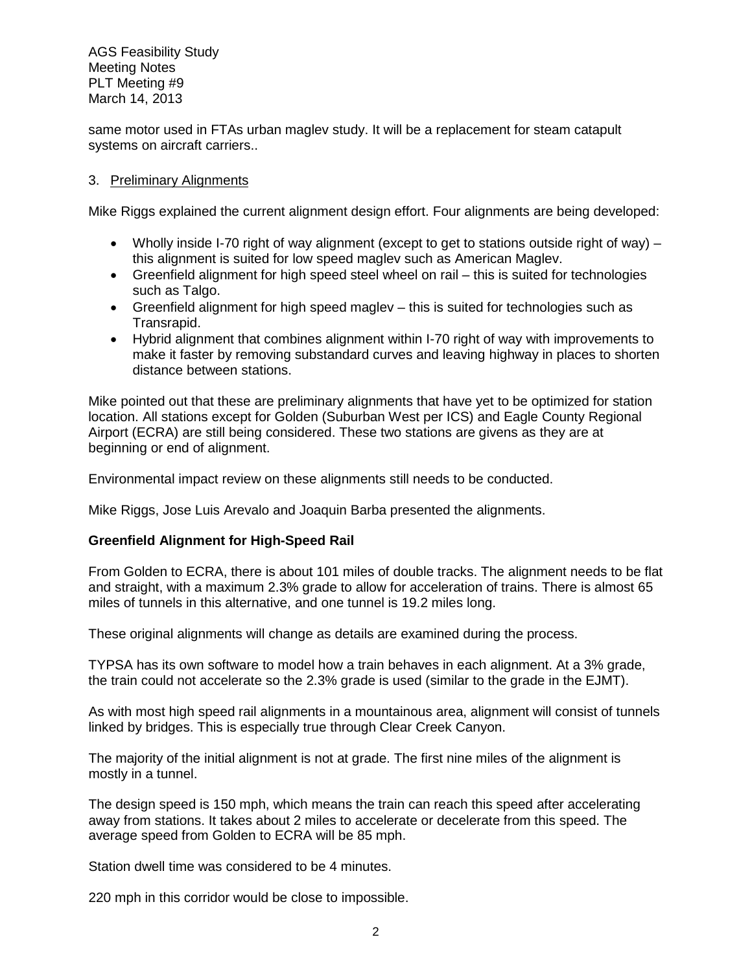same motor used in FTAs urban maglev study. It will be a replacement for steam catapult systems on aircraft carriers..

# 3. Preliminary Alignments

Mike Riggs explained the current alignment design effort. Four alignments are being developed:

- Wholly inside I-70 right of way alignment (except to get to stations outside right of way) this alignment is suited for low speed maglev such as American Maglev.
- Greenfield alignment for high speed steel wheel on rail this is suited for technologies such as Talgo.
- Greenfield alignment for high speed maglev this is suited for technologies such as Transrapid.
- Hybrid alignment that combines alignment within I-70 right of way with improvements to make it faster by removing substandard curves and leaving highway in places to shorten distance between stations.

Mike pointed out that these are preliminary alignments that have yet to be optimized for station location. All stations except for Golden (Suburban West per ICS) and Eagle County Regional Airport (ECRA) are still being considered. These two stations are givens as they are at beginning or end of alignment.

Environmental impact review on these alignments still needs to be conducted.

Mike Riggs, Jose Luis Arevalo and Joaquin Barba presented the alignments.

# **Greenfield Alignment for High-Speed Rail**

From Golden to ECRA, there is about 101 miles of double tracks. The alignment needs to be flat and straight, with a maximum 2.3% grade to allow for acceleration of trains. There is almost 65 miles of tunnels in this alternative, and one tunnel is 19.2 miles long.

These original alignments will change as details are examined during the process.

TYPSA has its own software to model how a train behaves in each alignment. At a 3% grade, the train could not accelerate so the 2.3% grade is used (similar to the grade in the EJMT).

As with most high speed rail alignments in a mountainous area, alignment will consist of tunnels linked by bridges. This is especially true through Clear Creek Canyon.

The majority of the initial alignment is not at grade. The first nine miles of the alignment is mostly in a tunnel.

The design speed is 150 mph, which means the train can reach this speed after accelerating away from stations. It takes about 2 miles to accelerate or decelerate from this speed. The average speed from Golden to ECRA will be 85 mph.

Station dwell time was considered to be 4 minutes.

220 mph in this corridor would be close to impossible.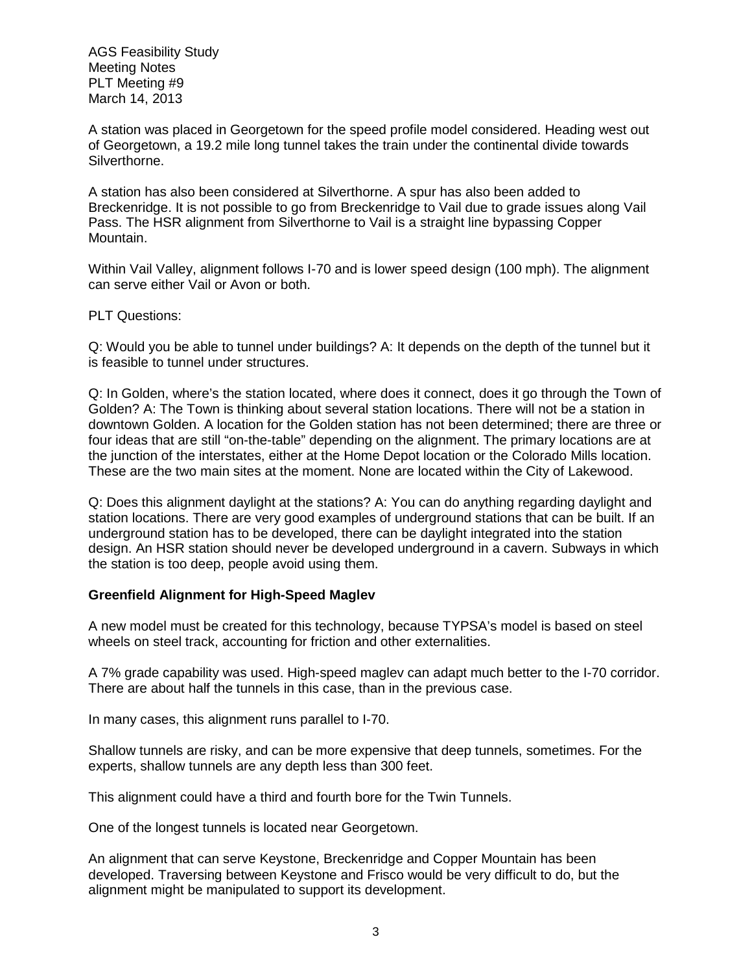A station was placed in Georgetown for the speed profile model considered. Heading west out of Georgetown, a 19.2 mile long tunnel takes the train under the continental divide towards Silverthorne.

A station has also been considered at Silverthorne. A spur has also been added to Breckenridge. It is not possible to go from Breckenridge to Vail due to grade issues along Vail Pass. The HSR alignment from Silverthorne to Vail is a straight line bypassing Copper Mountain.

Within Vail Valley, alignment follows I-70 and is lower speed design (100 mph). The alignment can serve either Vail or Avon or both.

PLT Questions:

Q: Would you be able to tunnel under buildings? A: It depends on the depth of the tunnel but it is feasible to tunnel under structures.

Q: In Golden, where's the station located, where does it connect, does it go through the Town of Golden? A: The Town is thinking about several station locations. There will not be a station in downtown Golden. A location for the Golden station has not been determined; there are three or four ideas that are still "on-the-table" depending on the alignment. The primary locations are at the junction of the interstates, either at the Home Depot location or the Colorado Mills location. These are the two main sites at the moment. None are located within the City of Lakewood.

Q: Does this alignment daylight at the stations? A: You can do anything regarding daylight and station locations. There are very good examples of underground stations that can be built. If an underground station has to be developed, there can be daylight integrated into the station design. An HSR station should never be developed underground in a cavern. Subways in which the station is too deep, people avoid using them.

# **Greenfield Alignment for High-Speed Maglev**

A new model must be created for this technology, because TYPSA's model is based on steel wheels on steel track, accounting for friction and other externalities.

A 7% grade capability was used. High-speed maglev can adapt much better to the I-70 corridor. There are about half the tunnels in this case, than in the previous case.

In many cases, this alignment runs parallel to I-70.

Shallow tunnels are risky, and can be more expensive that deep tunnels, sometimes. For the experts, shallow tunnels are any depth less than 300 feet.

This alignment could have a third and fourth bore for the Twin Tunnels.

One of the longest tunnels is located near Georgetown.

An alignment that can serve Keystone, Breckenridge and Copper Mountain has been developed. Traversing between Keystone and Frisco would be very difficult to do, but the alignment might be manipulated to support its development.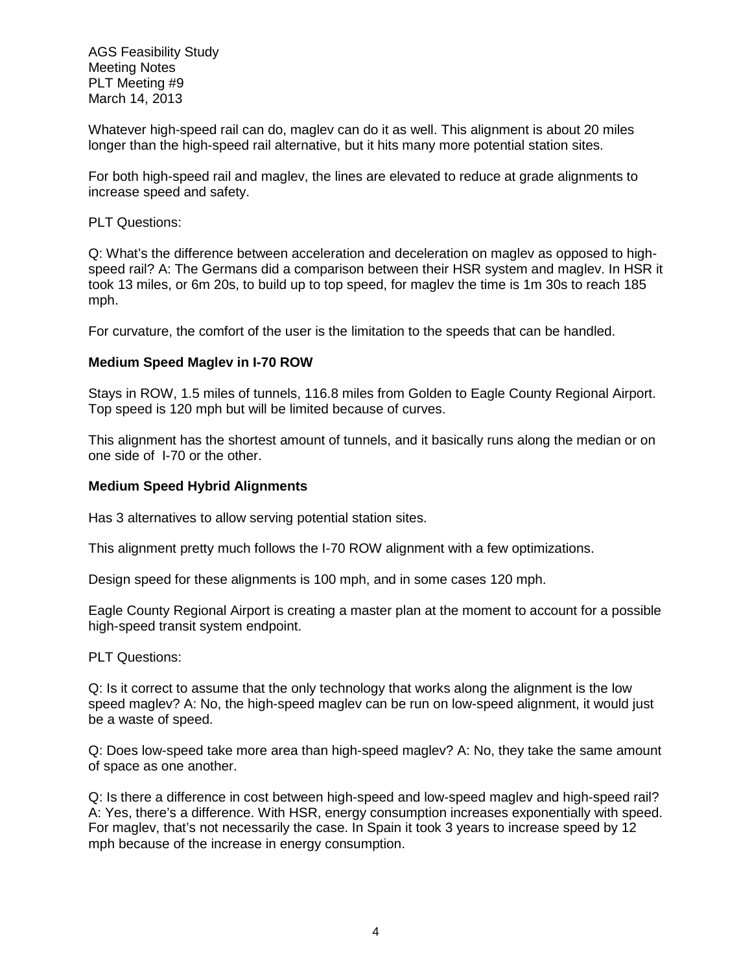Whatever high-speed rail can do, maglev can do it as well. This alignment is about 20 miles longer than the high-speed rail alternative, but it hits many more potential station sites.

For both high-speed rail and maglev, the lines are elevated to reduce at grade alignments to increase speed and safety.

PLT Questions:

Q: What's the difference between acceleration and deceleration on maglev as opposed to highspeed rail? A: The Germans did a comparison between their HSR system and maglev. In HSR it took 13 miles, or 6m 20s, to build up to top speed, for maglev the time is 1m 30s to reach 185 mph.

For curvature, the comfort of the user is the limitation to the speeds that can be handled.

## **Medium Speed Maglev in I-70 ROW**

Stays in ROW, 1.5 miles of tunnels, 116.8 miles from Golden to Eagle County Regional Airport. Top speed is 120 mph but will be limited because of curves.

This alignment has the shortest amount of tunnels, and it basically runs along the median or on one side of I-70 or the other.

## **Medium Speed Hybrid Alignments**

Has 3 alternatives to allow serving potential station sites.

This alignment pretty much follows the I-70 ROW alignment with a few optimizations.

Design speed for these alignments is 100 mph, and in some cases 120 mph.

Eagle County Regional Airport is creating a master plan at the moment to account for a possible high-speed transit system endpoint.

PLT Questions:

Q: Is it correct to assume that the only technology that works along the alignment is the low speed maglev? A: No, the high-speed maglev can be run on low-speed alignment, it would just be a waste of speed.

Q: Does low-speed take more area than high-speed maglev? A: No, they take the same amount of space as one another.

Q: Is there a difference in cost between high-speed and low-speed maglev and high-speed rail? A: Yes, there's a difference. With HSR, energy consumption increases exponentially with speed. For maglev, that's not necessarily the case. In Spain it took 3 years to increase speed by 12 mph because of the increase in energy consumption.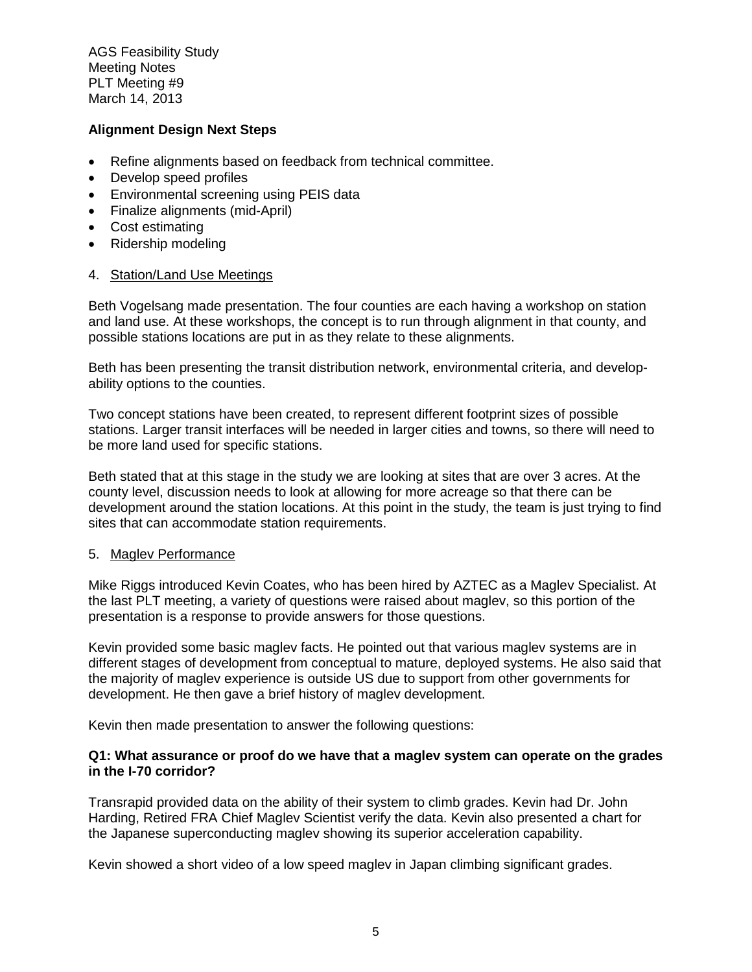# **Alignment Design Next Steps**

- Refine alignments based on feedback from technical committee.
- Develop speed profiles
- Environmental screening using PEIS data
- Finalize alignments (mid-April)
- Cost estimating
- Ridership modeling

## 4. Station/Land Use Meetings

Beth Vogelsang made presentation. The four counties are each having a workshop on station and land use. At these workshops, the concept is to run through alignment in that county, and possible stations locations are put in as they relate to these alignments.

Beth has been presenting the transit distribution network, environmental criteria, and developability options to the counties.

Two concept stations have been created, to represent different footprint sizes of possible stations. Larger transit interfaces will be needed in larger cities and towns, so there will need to be more land used for specific stations.

Beth stated that at this stage in the study we are looking at sites that are over 3 acres. At the county level, discussion needs to look at allowing for more acreage so that there can be development around the station locations. At this point in the study, the team is just trying to find sites that can accommodate station requirements.

## 5. Maglev Performance

Mike Riggs introduced Kevin Coates, who has been hired by AZTEC as a Maglev Specialist. At the last PLT meeting, a variety of questions were raised about maglev, so this portion of the presentation is a response to provide answers for those questions.

Kevin provided some basic maglev facts. He pointed out that various maglev systems are in different stages of development from conceptual to mature, deployed systems. He also said that the majority of maglev experience is outside US due to support from other governments for development. He then gave a brief history of maglev development.

Kevin then made presentation to answer the following questions:

## **Q1: What assurance or proof do we have that a maglev system can operate on the grades in the I-70 corridor?**

Transrapid provided data on the ability of their system to climb grades. Kevin had Dr. John Harding, Retired FRA Chief Maglev Scientist verify the data. Kevin also presented a chart for the Japanese superconducting maglev showing its superior acceleration capability.

Kevin showed a short video of a low speed maglev in Japan climbing significant grades.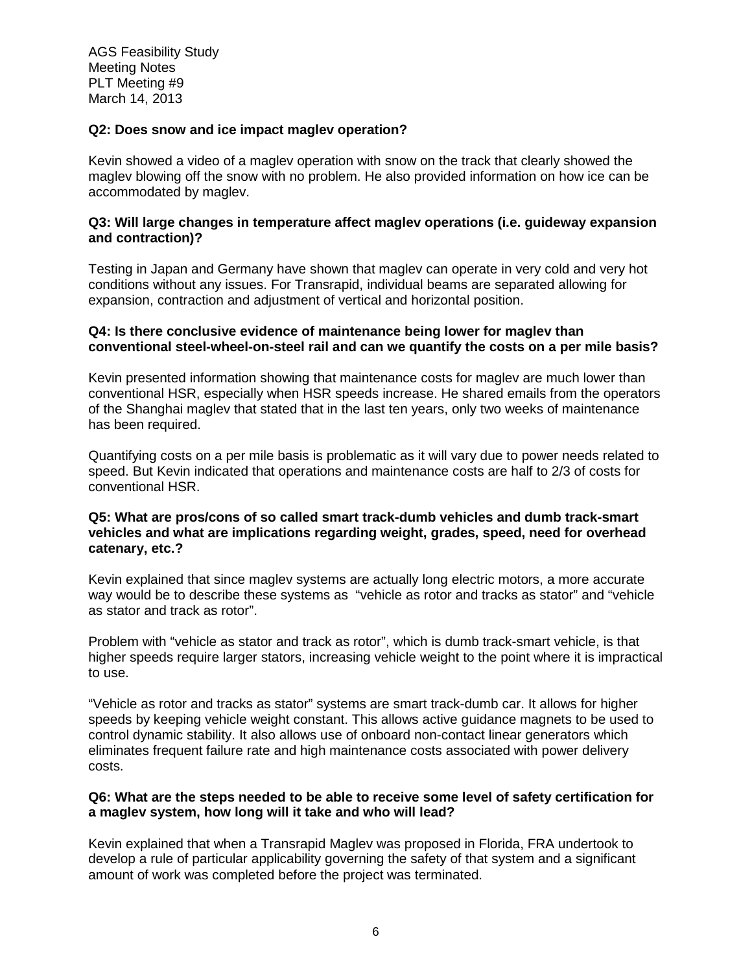## **Q2: Does snow and ice impact maglev operation?**

Kevin showed a video of a maglev operation with snow on the track that clearly showed the maglev blowing off the snow with no problem. He also provided information on how ice can be accommodated by maglev.

## **Q3: Will large changes in temperature affect maglev operations (i.e. guideway expansion and contraction)?**

Testing in Japan and Germany have shown that maglev can operate in very cold and very hot conditions without any issues. For Transrapid, individual beams are separated allowing for expansion, contraction and adjustment of vertical and horizontal position.

## **Q4: Is there conclusive evidence of maintenance being lower for maglev than conventional steel-wheel-on-steel rail and can we quantify the costs on a per mile basis?**

Kevin presented information showing that maintenance costs for maglev are much lower than conventional HSR, especially when HSR speeds increase. He shared emails from the operators of the Shanghai maglev that stated that in the last ten years, only two weeks of maintenance has been required.

Quantifying costs on a per mile basis is problematic as it will vary due to power needs related to speed. But Kevin indicated that operations and maintenance costs are half to 2/3 of costs for conventional HSR.

# **Q5: What are pros/cons of so called smart track-dumb vehicles and dumb track-smart vehicles and what are implications regarding weight, grades, speed, need for overhead catenary, etc.?**

Kevin explained that since maglev systems are actually long electric motors, a more accurate way would be to describe these systems as "vehicle as rotor and tracks as stator" and "vehicle as stator and track as rotor".

Problem with "vehicle as stator and track as rotor", which is dumb track-smart vehicle, is that higher speeds require larger stators, increasing vehicle weight to the point where it is impractical to use.

"Vehicle as rotor and tracks as stator" systems are smart track-dumb car. It allows for higher speeds by keeping vehicle weight constant. This allows active guidance magnets to be used to control dynamic stability. It also allows use of onboard non-contact linear generators which eliminates frequent failure rate and high maintenance costs associated with power delivery costs.

## **Q6: What are the steps needed to be able to receive some level of safety certification for a maglev system, how long will it take and who will lead?**

Kevin explained that when a Transrapid Maglev was proposed in Florida, FRA undertook to develop a rule of particular applicability governing the safety of that system and a significant amount of work was completed before the project was terminated.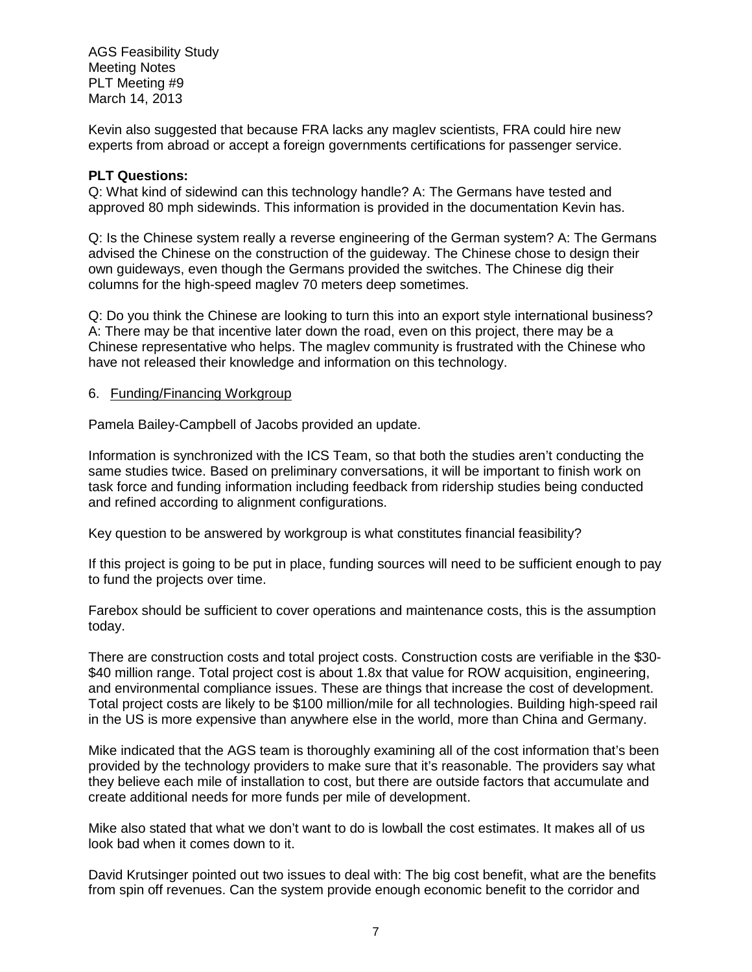Kevin also suggested that because FRA lacks any maglev scientists, FRA could hire new experts from abroad or accept a foreign governments certifications for passenger service.

# **PLT Questions:**

Q: What kind of sidewind can this technology handle? A: The Germans have tested and approved 80 mph sidewinds. This information is provided in the documentation Kevin has.

Q: Is the Chinese system really a reverse engineering of the German system? A: The Germans advised the Chinese on the construction of the guideway. The Chinese chose to design their own guideways, even though the Germans provided the switches. The Chinese dig their columns for the high-speed maglev 70 meters deep sometimes.

Q: Do you think the Chinese are looking to turn this into an export style international business? A: There may be that incentive later down the road, even on this project, there may be a Chinese representative who helps. The maglev community is frustrated with the Chinese who have not released their knowledge and information on this technology.

## 6. Funding/Financing Workgroup

Pamela Bailey-Campbell of Jacobs provided an update.

Information is synchronized with the ICS Team, so that both the studies aren't conducting the same studies twice. Based on preliminary conversations, it will be important to finish work on task force and funding information including feedback from ridership studies being conducted and refined according to alignment configurations.

Key question to be answered by workgroup is what constitutes financial feasibility?

If this project is going to be put in place, funding sources will need to be sufficient enough to pay to fund the projects over time.

Farebox should be sufficient to cover operations and maintenance costs, this is the assumption today.

There are construction costs and total project costs. Construction costs are verifiable in the \$30- \$40 million range. Total project cost is about 1.8x that value for ROW acquisition, engineering, and environmental compliance issues. These are things that increase the cost of development. Total project costs are likely to be \$100 million/mile for all technologies. Building high-speed rail in the US is more expensive than anywhere else in the world, more than China and Germany.

Mike indicated that the AGS team is thoroughly examining all of the cost information that's been provided by the technology providers to make sure that it's reasonable. The providers say what they believe each mile of installation to cost, but there are outside factors that accumulate and create additional needs for more funds per mile of development.

Mike also stated that what we don't want to do is lowball the cost estimates. It makes all of us look bad when it comes down to it.

David Krutsinger pointed out two issues to deal with: The big cost benefit, what are the benefits from spin off revenues. Can the system provide enough economic benefit to the corridor and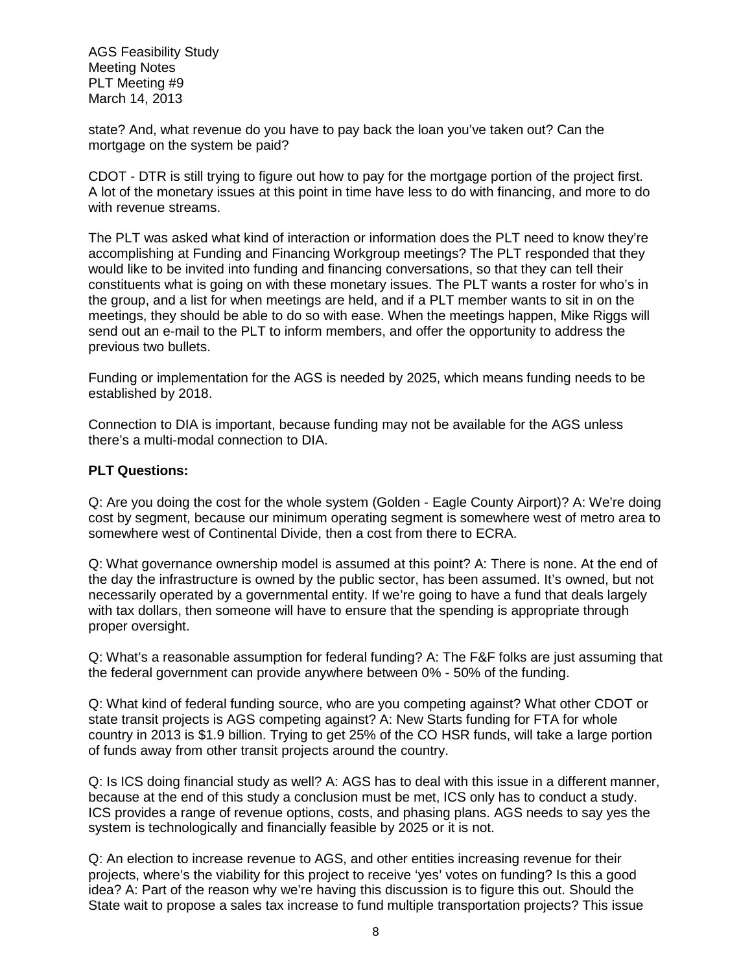state? And, what revenue do you have to pay back the loan you've taken out? Can the mortgage on the system be paid?

CDOT - DTR is still trying to figure out how to pay for the mortgage portion of the project first. A lot of the monetary issues at this point in time have less to do with financing, and more to do with revenue streams.

The PLT was asked what kind of interaction or information does the PLT need to know they're accomplishing at Funding and Financing Workgroup meetings? The PLT responded that they would like to be invited into funding and financing conversations, so that they can tell their constituents what is going on with these monetary issues. The PLT wants a roster for who's in the group, and a list for when meetings are held, and if a PLT member wants to sit in on the meetings, they should be able to do so with ease. When the meetings happen, Mike Riggs will send out an e-mail to the PLT to inform members, and offer the opportunity to address the previous two bullets.

Funding or implementation for the AGS is needed by 2025, which means funding needs to be established by 2018.

Connection to DIA is important, because funding may not be available for the AGS unless there's a multi-modal connection to DIA.

## **PLT Questions:**

Q: Are you doing the cost for the whole system (Golden - Eagle County Airport)? A: We're doing cost by segment, because our minimum operating segment is somewhere west of metro area to somewhere west of Continental Divide, then a cost from there to ECRA.

Q: What governance ownership model is assumed at this point? A: There is none. At the end of the day the infrastructure is owned by the public sector, has been assumed. It's owned, but not necessarily operated by a governmental entity. If we're going to have a fund that deals largely with tax dollars, then someone will have to ensure that the spending is appropriate through proper oversight.

Q: What's a reasonable assumption for federal funding? A: The F&F folks are just assuming that the federal government can provide anywhere between 0% - 50% of the funding.

Q: What kind of federal funding source, who are you competing against? What other CDOT or state transit projects is AGS competing against? A: New Starts funding for FTA for whole country in 2013 is \$1.9 billion. Trying to get 25% of the CO HSR funds, will take a large portion of funds away from other transit projects around the country.

Q: Is ICS doing financial study as well? A: AGS has to deal with this issue in a different manner, because at the end of this study a conclusion must be met, ICS only has to conduct a study. ICS provides a range of revenue options, costs, and phasing plans. AGS needs to say yes the system is technologically and financially feasible by 2025 or it is not.

Q: An election to increase revenue to AGS, and other entities increasing revenue for their projects, where's the viability for this project to receive 'yes' votes on funding? Is this a good idea? A: Part of the reason why we're having this discussion is to figure this out. Should the State wait to propose a sales tax increase to fund multiple transportation projects? This issue